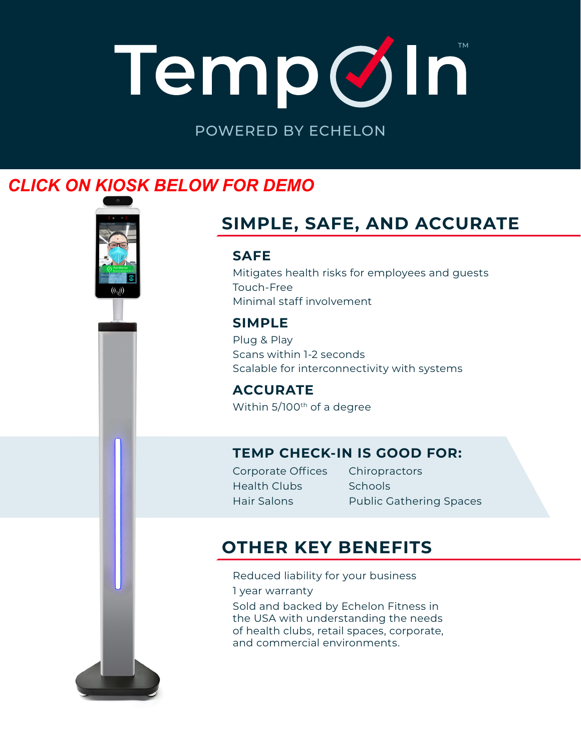# TempØIn

POWERED BY ECHELON

## *C[LICK ON KIOSK BELOW](https://youtu.be/QJ5U6-Asaac) FOR DEMO*



# **SIMPLE, SAFE, AND ACCURATE**

#### **SAFE**

Mitigates health risks for employees and guests Touch-Free Minimal staff involvement

#### **SIMPLE**

Plug & Play Scans within 1-2 seconds Scalable for interconnectivity with systems

**ACCURATE** Within 5/100<sup>th</sup> of a degree

#### **TEMP CHECK-IN IS GOOD FOR:**

Corporate Offices Health Clubs Hair Salons

Public Gathering Spaces **Schools Chiropractors** 

### **OTHER KEY BENEFITS**

Reduced liability for your business 1 year warranty Sold and backed by Echelon Fitness in the USA with understanding the needs of health clubs, retail spaces, corporate, and commercial environments.